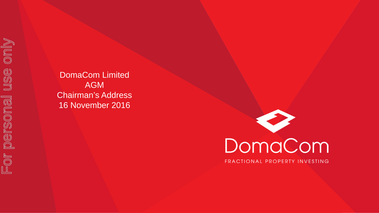DomaCom Limited AGM Chairman's Address 16 November 2016

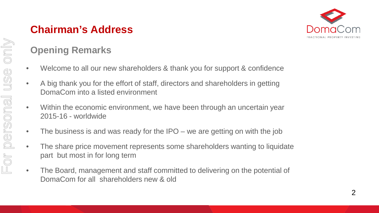# **Opening Remarks**

- Welcome to all our new shareholders & thank you for support & confidence
- A big thank you for the effort of staff, directors and shareholders in getting DomaCom into a listed environment
- Within the economic environment, we have been through an uncertain year 2015-16 - worldwide
- The business is and was ready for the IPO we are getting on with the job
- The share price movement represents some shareholders wanting to liquidate part but most in for long term
- The Board, management and staff committed to delivering on the potential of DomaCom for all shareholders new & old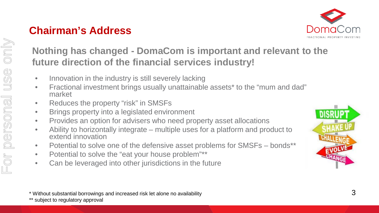

#### **Nothing has changed - DomaCom is important and relevant to the future direction of the financial services industry!**

- Innovation in the industry is still severely lacking
- Fractional investment brings usually unattainable assets\* to the "mum and dad" market
- Reduces the property "risk" in SMSFs
- Brings property into a legislated environment
- Provides an option for advisers who need property asset allocations
- Ability to horizontally integrate multiple uses for a platform and product to extend innovation
- Potential to solve one of the defensive asset problems for SMSFs bonds\*\*
- Potential to solve the "eat your house problem"\*\*
- Can be leveraged into other jurisdictions in the future



\* Without substantial borrowings and increased risk let alone no availability

\*\* subject to regulatory approval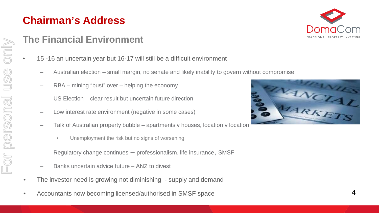For personal use only

personal

 $F$ Or

only

USC

#### **The Financial Environment**

- 15 -16 an uncertain year but 16-17 will still be a difficult environment
	- Australian election small margin, no senate and likely inability to govern without compromise
	- RBA mining "bust" over helping the economy
	- US Election clear result but uncertain future direction
	- Low interest rate environment (negative in some cases)
	- Talk of Australian property bubble apartments v houses, location v location
		- Unemployment the risk but no signs of worsening
	- Regulatory change continues  $-$  professionalism, life insurance, SMSF
	- Banks uncertain advice future ANZ to divest
- The investor need is growing not diminishing supply and demand
- Accountants now becoming licensed/authorised in SMSF space



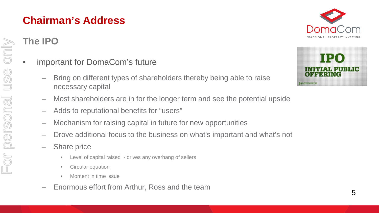#### **The IPO**

For personal use only

personal

For

only

USC

- important for DomaCom's future
	- Bring on different types of shareholders thereby being able to raise necessary capital
	- Most shareholders are in for the longer term and see the potential upside
	- Adds to reputational benefits for "users"
	- Mechanism for raising capital in future for new opportunities
	- Drove additional focus to the business on what's important and what's not
	- Share price
		- Level of capital raised drives any overhang of sellers
		- Circular equation
		- Moment in time issue
	- Enormous effort from Arthur, Ross and the team



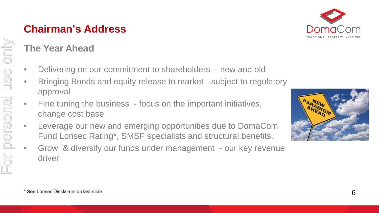

## **The Year Ahead**

- Delivering on our commitment to shareholders new and old
- Bringing Bonds and equity release to market -subject to regulatory approval
- Fine tuning the business focus on the important initiatives, change cost base
- Leverage our new and emerging opportunities due to DomaCom Fund Lonsec Rating\*, SMSF specialists and structural benefits.
- Grow & diversify our funds under management our key revenue driver

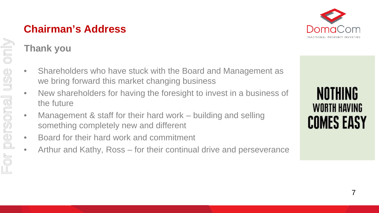

## **Thank you**

- Shareholders who have stuck with the Board and Management as we bring forward this market changing business
- New shareholders for having the foresight to invest in a business of the future
- Management & staff for their hard work building and selling something completely new and different
- Board for their hard work and commitment
- Arthur and Kathy, Ross for their continual drive and perseverance

NOTHING WORTH HAVING **COMES EASY**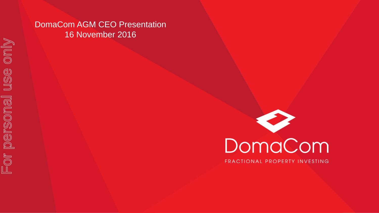#### DomaCom AGM CEO Presentation 16 November 2016

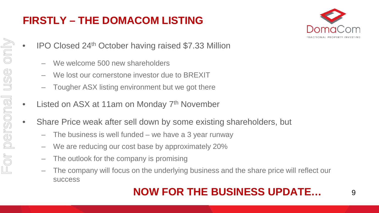## **FIRSTLY – THE DOMACOM LISTING**



- IPO Closed 24th October having raised \$7.33 Million
	- We welcome 500 new shareholders
	- We lost our cornerstone investor due to BREXIT
	- Tougher ASX listing environment but we got there
- Listed on ASX at 11am on Monday 7<sup>th</sup> November
- Share Price weak after sell down by some existing shareholders, but
	- The business is well funded we have a 3 year runway
	- We are reducing our cost base by approximately 20%
	- The outlook for the company is promising
	- The company will focus on the underlying business and the share price will reflect our success

# **NOW FOR THE BUSINESS UPDATE…**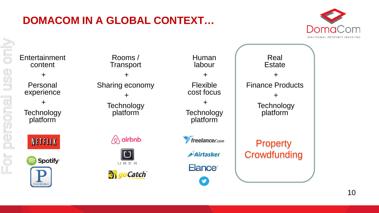# **DOMACOM IN A GLOBAL CONTEXT…**

For personal use only

personal

FOr

only

USC



**Entertainment** Rooms / Human Real **Transport** labour **Estate** content + + + + Personal Sharing economy Flexible Finance Products cost focus experience + + + + **Technology Technology Technology** platform **Technology** platform platform platform  $\Diamond$  airbnb **freelancer.com NETFLIX Property Crowdfunding** Airtasker Spotify<sup>®</sup> UBER Elance<sup>®</sup> **B** goCatch **V PANDOR** 

10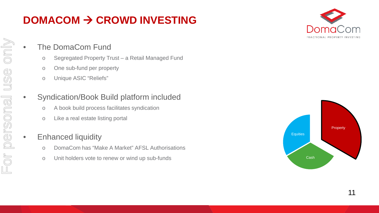# **DOMACOM CROWD INVESTING**



#### The DomaCom Fund

- o Segregated Property Trust a Retail Managed Fund
- o One sub-fund per property
- o Unique ASIC "Reliefs"

#### • Syndication/Book Build platform included

- o A book build process facilitates syndication
- o Like a real estate listing portal

#### • Enhanced liquidity

- o DomaCom has "Make A Market" AFSL Authorisations
- o Unit holders vote to renew or wind up sub-funds

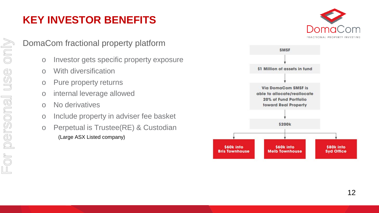# **KEY INVESTOR BENEFITS**

DomaCom fractional property platform

- o Investor gets specific property exposure
- o With diversification
- o Pure property returns
- o internal leverage allowed
- o No derivatives
- o Include property in adviser fee basket
- o Perpetual is Trustee(RE) & Custodian (Large ASX Listed company)



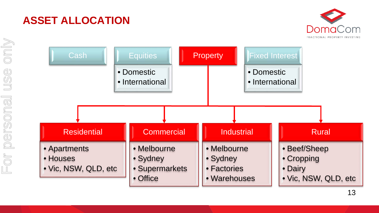

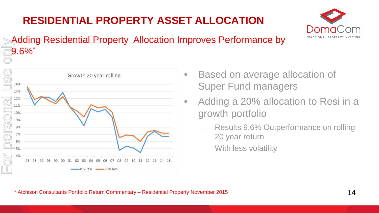# **RESIDENTIAL PROPERTY ASSET ALLOCATION**



#### Adding Residential Property Allocation Improves Performance by  $-9.6\%$   $*$



- Based on average allocation of Super Fund managers
- Adding a 20% allocation to Resi in a growth portfolio
	- Results 9.6% Outperformance on rolling 20 year return
	- With less volatility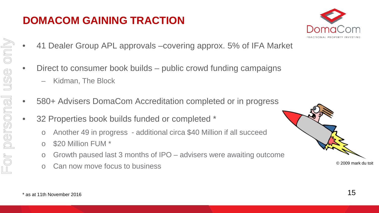#### **DOMACOM GAINING TRACTION**



- 41 Dealer Group APL approvals –covering approx. 5% of IFA Market
- Direct to consumer book builds public crowd funding campaigns
	- Kidman, The Block
- 580+ Advisers DomaCom Accreditation completed or in progress
- 32 Properties book builds funded or completed \*
	- o Another 49 in progress additional circa \$40 Million if all succeed
	- o \$20 Million FUM \*
	- o Growth paused last 3 months of IPO advisers were awaiting outcome
	- o Can now move focus to business

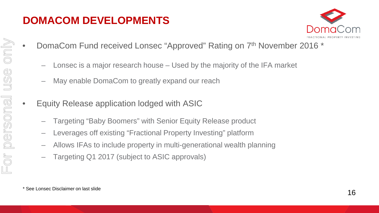## **DOMACOM DEVELOPMENTS**



- DomaCom Fund received Lonsec "Approved" Rating on 7th November 2016 \*
	- Lonsec is a major research house Used by the majority of the IFA market
	- May enable DomaCom to greatly expand our reach
- Equity Release application lodged with ASIC
	- Targeting "Baby Boomers" with Senior Equity Release product
	- Leverages off existing "Fractional Property Investing" platform
	- Allows IFAs to include property in multi-generational wealth planning
	- Targeting Q1 2017 (subject to ASIC approvals)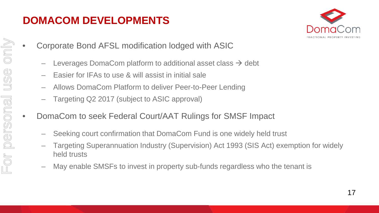## **DOMACOM DEVELOPMENTS**



- Corporate Bond AFSL modification lodged with ASIC
	- Leverages DomaCom platform to additional asset class  $\rightarrow$  debt
	- Easier for IFAs to use & will assist in initial sale
	- Allows DomaCom Platform to deliver Peer-to-Peer Lending
	- Targeting Q2 2017 (subject to ASIC approval)
	- DomaCom to seek Federal Court/AAT Rulings for SMSF Impact
		- Seeking court confirmation that DomaCom Fund is one widely held trust
		- Targeting Superannuation Industry (Supervision) Act 1993 (SIS Act) exemption for widely held trusts
		- May enable SMSFs to invest in property sub-funds regardless who the tenant is